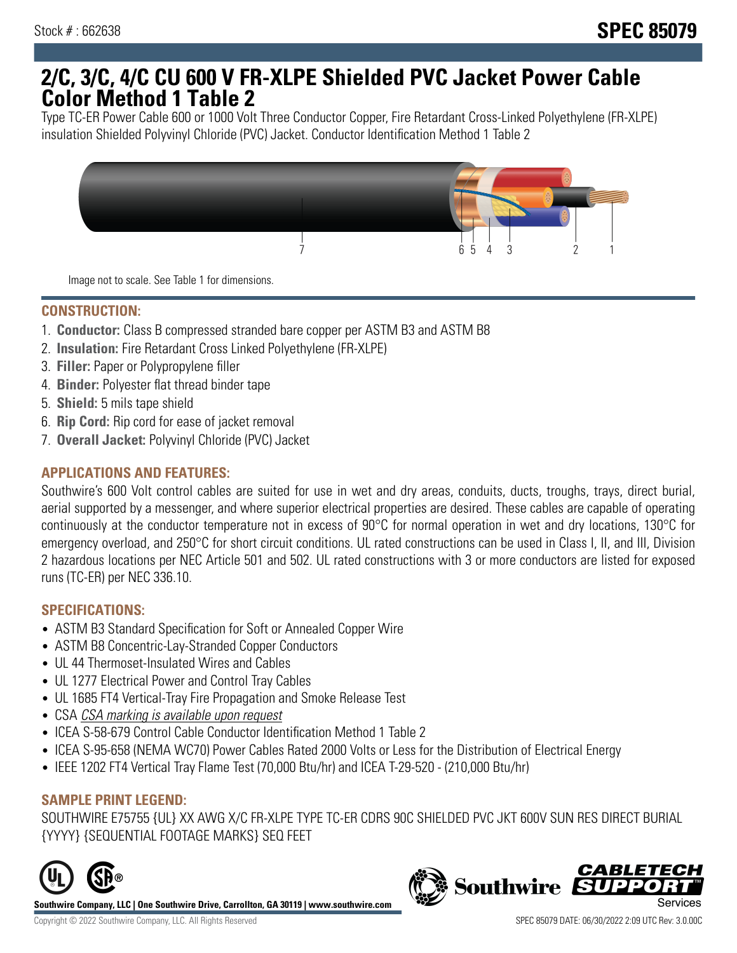# **2/C, 3/C, 4/C CU 600 V FR-XLPE Shielded PVC Jacket Power Cable Color Method 1 Table 2**

Type TC-ER Power Cable 600 or 1000 Volt Three Conductor Copper, Fire Retardant Cross-Linked Polyethylene (FR-XLPE) insulation Shielded Polyvinyl Chloride (PVC) Jacket. Conductor Identification Method 1 Table 2



Image not to scale. See Table 1 for dimensions.

# **CONSTRUCTION:**

- 1. **Conductor:** Class B compressed stranded bare copper per ASTM B3 and ASTM B8
- 2. **Insulation:** Fire Retardant Cross Linked Polyethylene (FR-XLPE)
- 3. **Filler:** Paper or Polypropylene filler
- 4. **Binder:** Polyester flat thread binder tape
- 5. **Shield:** 5 mils tape shield
- 6. **Rip Cord:** Rip cord for ease of jacket removal
- 7. **Overall Jacket:** Polyvinyl Chloride (PVC) Jacket

## **APPLICATIONS AND FEATURES:**

Southwire's 600 Volt control cables are suited for use in wet and dry areas, conduits, ducts, troughs, trays, direct burial, aerial supported by a messenger, and where superior electrical properties are desired. These cables are capable of operating continuously at the conductor temperature not in excess of 90°C for normal operation in wet and dry locations, 130°C for emergency overload, and 250°C for short circuit conditions. UL rated constructions can be used in Class I, II, and III, Division 2 hazardous locations per NEC Article 501 and 502. UL rated constructions with 3 or more conductors are listed for exposed runs (TC-ER) per NEC 336.10.

#### **SPECIFICATIONS:**

- ASTM B3 Standard Specification for Soft or Annealed Copper Wire
- ASTM B8 Concentric-Lay-Stranded Copper Conductors
- UL 44 Thermoset-Insulated Wires and Cables
- UL 1277 Electrical Power and Control Tray Cables
- UL 1685 FT4 Vertical-Tray Fire Propagation and Smoke Release Test
- CSA CSA marking is available upon request
- ICEA S-58-679 Control Cable Conductor Identification Method 1 Table 2
- ICEA S-95-658 (NEMA WC70) Power Cables Rated 2000 Volts or Less for the Distribution of Electrical Energy
- IEEE 1202 FT4 Vertical Tray Flame Test (70,000 Btu/hr) and ICEA T-29-520 (210,000 Btu/hr)

#### **SAMPLE PRINT LEGEND:**

SOUTHWIRE E75755 {UL} XX AWG X/C FR-XLPE TYPE TC-ER CDRS 90C SHIELDED PVC JKT 600V SUN RES DIRECT BURIAL {YYYY} {SEQUENTIAL FOOTAGE MARKS} SEQ FEET



**Southwire Company, LLC | One Southwire Drive, Carrollton, GA 30119 | www.southwire.com**